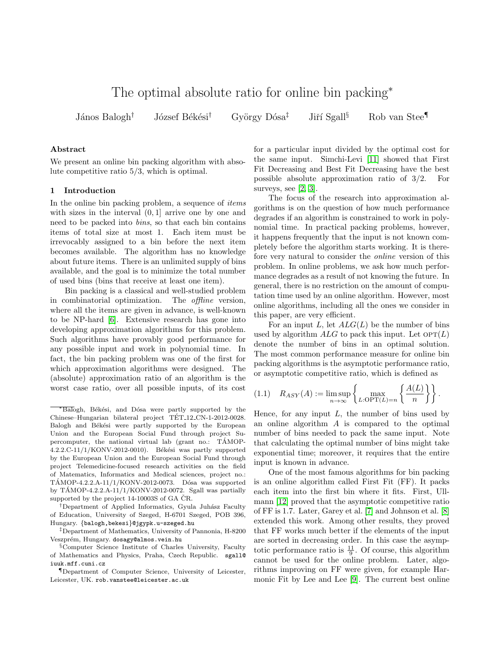# The optimal absolute ratio for online bin packing<sup>∗</sup>

János Balogh<sup>†</sup> József Békési<sup>†</sup> György Dósa<sup>‡</sup> Jiří Sgall<sup>§</sup> Rob van Stee<sup>¶</sup>

## Abstract

We present an online bin packing algorithm with absolute competitive ratio 5/3, which is optimal.

## 1 Introduction

In the online bin packing problem, a sequence of *items* with sizes in the interval  $(0, 1]$  arrive one by one and need to be packed into bins, so that each bin contains items of total size at most 1. Each item must be irrevocably assigned to a bin before the next item becomes available. The algorithm has no knowledge about future items. There is an unlimited supply of bins available, and the goal is to minimize the total number of used bins (bins that receive at least one item).

Bin packing is a classical and well-studied problem in combinatorial optimization. The offline version, where all the items are given in advance, is well-known to be NP-hard [\[6\]](#page-13-0). Extensive research has gone into developing approximation algorithms for this problem. Such algorithms have provably good performance for any possible input and work in polynomial time. In fact, the bin packing problem was one of the first for which approximation algorithms were designed. The (absolute) approximation ratio of an algorithm is the worst case ratio, over all possible inputs, of its cost

<sup>†</sup>Department of Applied Informatics, Gyula Juhász Faculty of Education, University of Szeged, H-6701 Szeged, POB 396, Hungary. {balogh,bekesi}@jgypk.u-szeged.hu

‡Department of Mathematics, University of Pannonia, H-8200 Veszprém, Hungary. dosagy@almos.vein.hu

for a particular input divided by the optimal cost for the same input. Simchi-Levi [\[11\]](#page-13-1) showed that First Fit Decreasing and Best Fit Decreasing have the best possible absolute approximation ratio of 3/2. For surveys, see [\[2,](#page-13-2) [3\]](#page-13-3).

The focus of the research into approximation algorithms is on the question of how much performance degrades if an algorithm is constrained to work in polynomial time. In practical packing problems, however, it happens frequently that the input is not known completely before the algorithm starts working. It is therefore very natural to consider the online version of this problem. In online problems, we ask how much performance degrades as a result of not knowing the future. In general, there is no restriction on the amount of computation time used by an online algorithm. However, most online algorithms, including all the ones we consider in this paper, are very efficient.

For an input L, let  $ALG(L)$  be the number of bins used by algorithm  $ALG$  to pack this input. Let  $\text{OPT}(L)$ denote the number of bins in an optimal solution. The most common performance measure for online bin packing algorithms is the asymptotic performance ratio, or asymptotic competitive ratio, which is defined as

<span id="page-0-0"></span>
$$
(1.1) \quad R_{ASY}(A) := \limsup_{n \to \infty} \left\{ \max_{L:\mathrm{OPT}(L)=n} \left\{ \frac{A(L)}{n} \right\} \right\}.
$$

Hence, for any input  $L$ , the number of bins used by an online algorithm A is compared to the optimal number of bins needed to pack the same input. Note that calculating the optimal number of bins might take exponential time; moreover, it requires that the entire input is known in advance.

One of the most famous algorithms for bin packing is an online algorithm called First Fit (FF). It packs each item into the first bin where it fits. First, Ullmann [\[12\]](#page-13-4) proved that the asymptotic competitive ratio of FF is 1.7. Later, Garey et al. [\[7\]](#page-13-5) and Johnson et al. [\[8\]](#page-13-6) extended this work. Among other results, they proved that FF works much better if the elements of the input are sorted in decreasing order. In this case the asymptotic performance ratio is  $\frac{11}{9}$ . Of course, this algorithm cannot be used for the online problem. Later, algorithms improving on FF were given, for example Harmonic Fit by Lee and Lee [\[9\]](#page-13-7). The current best online

<sup>\*</sup>Balogh, Békési, and Dósa were partly supported by the Chinese–Hungarian bilateral project TÉT<sub>-12</sub>-CN-1-2012-0028. Balogh and Békési were partly supported by the European Union and the European Social Fund through project Supercomputer, the national virtual lab (grant no.: TÁMOP- $4.2.2 \text{C}-11/1/KONV-2012-0010$ . Békési was partly supported by the European Union and the European Social Fund through project Telemedicine-focused research activities on the field of Matematics, Informatics and Medical sciences, project no.: TÁMOP-4.2.2.A-11/1/KONV-2012-0073. Dósa was supported by TÁMOP-4.2.2.A-11/1/KONV-2012-0072. Sgall was partially supported by the project  $14-10003S$  of GA  $\check{C}R$ .

<sup>§</sup>Computer Science Institute of Charles University, Faculty of Mathematics and Physics, Praha, Czech Republic. sgall@ iuuk.mff.cuni.cz

<sup>¶</sup>Department of Computer Science, University of Leicester, Leicester, UK. rob.vanstee@leicester.ac.uk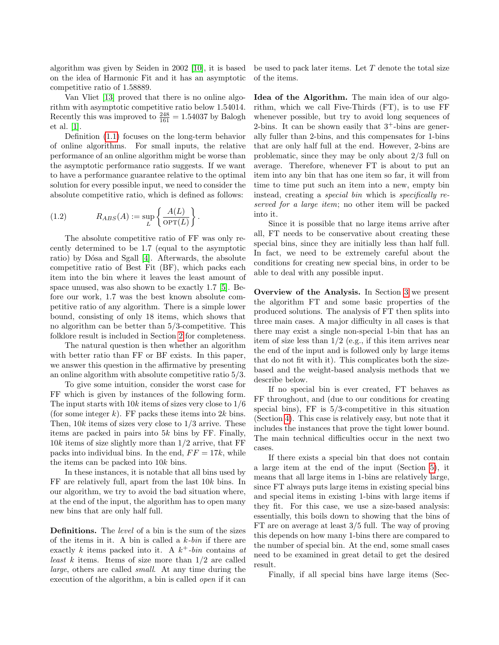algorithm was given by Seiden in 2002 [\[10\]](#page-13-8), it is based on the idea of Harmonic Fit and it has an asymptotic competitive ratio of 1.58889.

Van Vliet [\[13\]](#page-13-9) proved that there is no online algorithm with asymptotic competitive ratio below 1.54014. Recently this was improved to  $\frac{248}{161} = 1.54037$  by Balogh et al. [\[1\]](#page-13-10).

Definition [\(1.1\)](#page-0-0) focuses on the long-term behavior of online algorithms. For small inputs, the relative performance of an online algorithm might be worse than the asymptotic performance ratio suggests. If we want to have a performance guarantee relative to the optimal solution for every possible input, we need to consider the absolute competitive ratio, which is defined as follows:

(1.2) 
$$
R_{ABS}(A) := \sup_{L} \left\{ \frac{A(L)}{\text{OPT}(L)} \right\}.
$$

The absolute competitive ratio of FF was only recently determined to be 1.7 (equal to the asymptotic ratio) by Dósa and Sgall [\[4\]](#page-13-11). Afterwards, the absolute competitive ratio of Best Fit (BF), which packs each item into the bin where it leaves the least amount of space unused, was also shown to be exactly 1.7 [\[5\]](#page-13-12). Before our work, 1.7 was the best known absolute competitive ratio of any algorithm. There is a simple lower bound, consisting of only 18 items, which shows that no algorithm can be better than 5/3-competitive. This folklore result is included in Section [2](#page-2-0) for completeness.

The natural question is then whether an algorithm with better ratio than FF or BF exists. In this paper, we answer this question in the affirmative by presenting an online algorithm with absolute competitive ratio 5/3.

To give some intuition, consider the worst case for FF which is given by instances of the following form. The input starts with  $10k$  items of sizes very close to  $1/6$ (for some integer k). FF packs these items into  $2k$  bins. Then,  $10k$  items of sizes very close to  $1/3$  arrive. These items are packed in pairs into  $5k$  bins by FF. Finally,  $10k$  items of size slightly more than  $1/2$  arrive, that FF packs into individual bins. In the end,  $FF = 17k$ , while the items can be packed into 10k bins.

In these instances, it is notable that all bins used by FF are relatively full, apart from the last 10k bins. In our algorithm, we try to avoid the bad situation where, at the end of the input, the algorithm has to open many new bins that are only half full.

Definitions. The level of a bin is the sum of the sizes of the items in it. A bin is called a  $k$ -bin if there are exactly k items packed into it. A  $k^+$ -bin contains at *least* k items. Items of size more than  $1/2$  are called large, others are called small. At any time during the execution of the algorithm, a bin is called open if it can

be used to pack later items. Let  $T$  denote the total size of the items.

Idea of the Algorithm. The main idea of our algorithm, which we call Five-Thirds (FT), is to use FF whenever possible, but try to avoid long sequences of 2-bins. It can be shown easily that  $3^+$ -bins are generally fuller than 2-bins, and this compensates for 1-bins that are only half full at the end. However, 2-bins are problematic, since they may be only about 2/3 full on average. Therefore, whenever FT is about to put an item into any bin that has one item so far, it will from time to time put such an item into a new, empty bin instead, creating a special bin which is specifically reserved for a large item; no other item will be packed into it.

Since it is possible that no large items arrive after all, FT needs to be conservative about creating these special bins, since they are initially less than half full. In fact, we need to be extremely careful about the conditions for creating new special bins, in order to be able to deal with any possible input.

Overview of the Analysis. In Section [3](#page-2-1) we present the algorithm FT and some basic properties of the produced solutions. The analysis of FT then splits into three main cases. A major difficulty in all cases is that there may exist a single non-special 1-bin that has an item of size less than  $1/2$  (e.g., if this item arrives near the end of the input and is followed only by large items that do not fit with it). This complicates both the sizebased and the weight-based analysis methods that we describe below.

If no special bin is ever created, FT behaves as FF throughout, and (due to our conditions for creating special bins),  $FF$  is  $5/3$ -competitive in this situation (Section [4\)](#page-5-0). This case is relatively easy, but note that it includes the instances that prove the tight lower bound. The main technical difficulties occur in the next two cases.

If there exists a special bin that does not contain a large item at the end of the input (Section [5\)](#page-5-1), it means that all large items in 1-bins are relatively large, since FT always puts large items in existing special bins and special items in existing 1-bins with large items if they fit. For this case, we use a size-based analysis: essentially, this boils down to showing that the bins of FT are on average at least 3/5 full. The way of proving this depends on how many 1-bins there are compared to the number of special bin. At the end, some small cases need to be examined in great detail to get the desired result.

Finally, if all special bins have large items (Sec-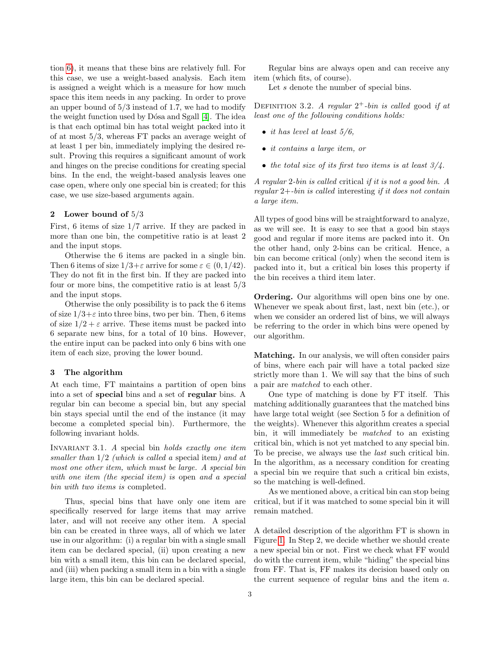tion [6\)](#page-8-0), it means that these bins are relatively full. For this case, we use a weight-based analysis. Each item is assigned a weight which is a measure for how much space this item needs in any packing. In order to prove an upper bound of  $5/3$  instead of 1.7, we had to modify the weight function used by Dósa and Sgall [\[4\]](#page-13-11). The idea is that each optimal bin has total weight packed into it of at most 5/3, whereas FT packs an average weight of at least 1 per bin, immediately implying the desired result. Proving this requires a significant amount of work and hinges on the precise conditions for creating special bins. In the end, the weight-based analysis leaves one case open, where only one special bin is created; for this case, we use size-based arguments again.

# <span id="page-2-0"></span>2 Lower bound of 5/3

First, 6 items of size 1/7 arrive. If they are packed in more than one bin, the competitive ratio is at least 2 and the input stops.

Otherwise the 6 items are packed in a single bin. Then 6 items of size  $1/3+\varepsilon$  arrive for some  $\varepsilon \in (0,1/42)$ . They do not fit in the first bin. If they are packed into four or more bins, the competitive ratio is at least 5/3 and the input stops.

Otherwise the only possibility is to pack the 6 items of size  $1/3+\varepsilon$  into three bins, two per bin. Then, 6 items of size  $1/2 + \varepsilon$  arrive. These items must be packed into 6 separate new bins, for a total of 10 bins. However, the entire input can be packed into only 6 bins with one item of each size, proving the lower bound.

# <span id="page-2-1"></span>3 The algorithm

At each time, FT maintains a partition of open bins into a set of special bins and a set of regular bins. A regular bin can become a special bin, but any special bin stays special until the end of the instance (it may become a completed special bin). Furthermore, the following invariant holds.

INVARIANT  $3.1.$  A special bin holds exactly one item smaller than  $1/2$  (which is called a special item) and at most one other item, which must be large. A special bin with one item (the special item) is open and a special bin with two items is completed.

Thus, special bins that have only one item are specifically reserved for large items that may arrive later, and will not receive any other item. A special bin can be created in three ways, all of which we later use in our algorithm: (i) a regular bin with a single small item can be declared special, (ii) upon creating a new bin with a small item, this bin can be declared special, and (iii) when packing a small item in a bin with a single large item, this bin can be declared special.

Regular bins are always open and can receive any item (which fits, of course).

Let s denote the number of special bins.

DEFINITION 3.2. A regular  $2^+$ -bin is called good if at least one of the following conditions holds:

- it has level at least  $5/6$ ,
- it contains a large item, or
- the total size of its first two items is at least  $3/4$ .

A regular 2-bin is called critical if it is not a good bin. A regular 2+-bin is called interesting if it does not contain a large item.

All types of good bins will be straightforward to analyze, as we will see. It is easy to see that a good bin stays good and regular if more items are packed into it. On the other hand, only 2-bins can be critical. Hence, a bin can become critical (only) when the second item is packed into it, but a critical bin loses this property if the bin receives a third item later.

Ordering. Our algorithms will open bins one by one. Whenever we speak about first, last, next bin (etc.), or when we consider an ordered list of bins, we will always be referring to the order in which bins were opened by our algorithm.

Matching. In our analysis, we will often consider pairs of bins, where each pair will have a total packed size strictly more than 1. We will say that the bins of such a pair are matched to each other.

One type of matching is done by FT itself. This matching additionally guarantees that the matched bins have large total weight (see Section 5 for a definition of the weights). Whenever this algorithm creates a special bin, it will immediately be matched to an existing critical bin, which is not yet matched to any special bin. To be precise, we always use the last such critical bin. In the algorithm, as a necessary condition for creating a special bin we require that such a critical bin exists, so the matching is well-defined.

As we mentioned above, a critical bin can stop being critical, but if it was matched to some special bin it will remain matched.

A detailed description of the algorithm FT is shown in Figure [1.](#page-3-0) In Step 2, we decide whether we should create a new special bin or not. First we check what FF would do with the current item, while "hiding" the special bins from FF. That is, FF makes its decision based only on the current sequence of regular bins and the item a.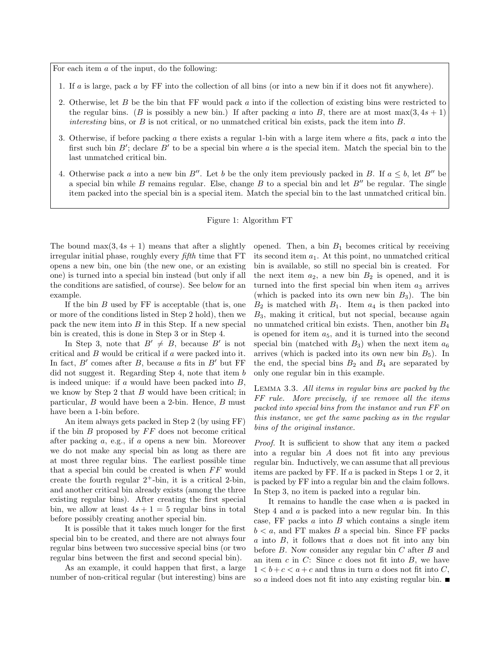For each item  $a$  of the input, do the following:

- 1. If a is large, pack a by FF into the collection of all bins (or into a new bin if it does not fit anywhere).
- 2. Otherwise, let B be the bin that FF would pack a into if the collection of existing bins were restricted to the regular bins. (B is possibly a new bin.) If after packing a into B, there are at most max $(3, 4s + 1)$ interesting bins, or  $B$  is not critical, or no unmatched critical bin exists, pack the item into  $B$ .
- 3. Otherwise, if before packing a there exists a regular 1-bin with a large item where a fits, pack a into the first such bin  $B'$ ; declare  $B'$  to be a special bin where a is the special item. Match the special bin to the last unmatched critical bin.
- 4. Otherwise pack a into a new bin B''. Let b be the only item previously packed in B. If  $a \leq b$ , let B'' be a special bin while B remains regular. Else, change B to a special bin and let  $B''$  be regular. The single item packed into the special bin is a special item. Match the special bin to the last unmatched critical bin.

## Figure 1: Algorithm FT

The bound  $\max(3, 4s + 1)$  means that after a slightly irregular initial phase, roughly every fifth time that FT opens a new bin, one bin (the new one, or an existing one) is turned into a special bin instead (but only if all the conditions are satisfied, of course). See below for an example.

If the bin  $B$  used by  $\overline{FF}$  is acceptable (that is, one or more of the conditions listed in Step 2 hold), then we pack the new item into B in this Step. If a new special bin is created, this is done in Step 3 or in Step 4.

In Step 3, note that  $B' \neq B$ , because B' is not critical and B would be critical if a were packed into it. In fact,  $B'$  comes after  $B$ , because  $a$  fits in  $B'$  but FF did not suggest it. Regarding Step 4, note that item b is indeed unique: if  $a$  would have been packed into  $B$ , we know by Step 2 that  $B$  would have been critical; in particular,  $B$  would have been a 2-bin. Hence,  $B$  must have been a 1-bin before.

An item always gets packed in Step 2 (by using FF) if the bin  $B$  proposed by  $FF$  does not become critical after packing a, e.g., if a opens a new bin. Moreover we do not make any special bin as long as there are at most three regular bins. The earliest possible time that a special bin could be created is when  $FF$  would create the fourth regular  $2^+$ -bin, it is a critical 2-bin, and another critical bin already exists (among the three existing regular bins). After creating the first special bin, we allow at least  $4s + 1 = 5$  regular bins in total before possibly creating another special bin.

It is possible that it takes much longer for the first special bin to be created, and there are not always four regular bins between two successive special bins (or two regular bins between the first and second special bin).

As an example, it could happen that first, a large number of non-critical regular (but interesting) bins are

<span id="page-3-0"></span>opened. Then, a bin  $B_1$  becomes critical by receiving its second item  $a_1$ . At this point, no unmatched critical bin is available, so still no special bin is created. For the next item  $a_2$ , a new bin  $B_2$  is opened, and it is turned into the first special bin when item  $a_3$  arrives (which is packed into its own new bin  $B_3$ ). The bin  $B_2$  is matched with  $B_1$ . Item  $a_4$  is then packed into  $B_3$ , making it critical, but not special, because again no unmatched critical bin exists. Then, another bin  $B_4$ is opened for item  $a_5$ , and it is turned into the second special bin (matched with  $B_3$ ) when the next item  $a_6$ arrives (which is packed into its own new bin  $B_5$ ). In the end, the special bins  $B_2$  and  $B_4$  are separated by only one regular bin in this example.

<span id="page-3-1"></span>Lemma 3.3. All items in regular bins are packed by the FF rule. More precisely, if we remove all the items packed into special bins from the instance and run FF on this instance, we get the same packing as in the regular bins of the original instance.

Proof. It is sufficient to show that any item a packed into a regular bin A does not fit into any previous regular bin. Inductively, we can assume that all previous items are packed by FF. If a is packed in Steps 1 or 2, it is packed by FF into a regular bin and the claim follows. In Step 3, no item is packed into a regular bin.

It remains to handle the case when a is packed in Step 4 and  $a$  is packed into a new regular bin. In this case, FF packs  $a$  into  $B$  which contains a single item  $b < a$ , and FT makes B a special bin. Since FF packs  $a$  into  $B$ , it follows that  $a$  does not fit into any bin before B. Now consider any regular bin C after B and an item  $c$  in  $C$ : Since  $c$  does not fit into  $B$ , we have  $1 < b+c < a+c$  and thus in turn a does not fit into C, so a indeed does not fit into any existing regular bin.  $\blacksquare$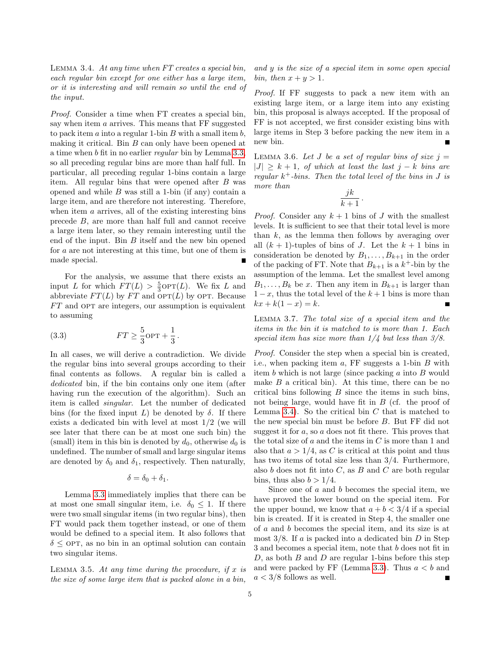<span id="page-4-0"></span>Lemma 3.4. At any time when FT creates a special bin, each regular bin except for one either has a large item, or it is interesting and will remain so until the end of the input.

Proof. Consider a time when FT creates a special bin, say when item a arrives. This means that FF suggested to pack item  $a$  into a regular 1-bin  $B$  with a small item  $b$ , making it critical. Bin  $B$  can only have been opened at a time when b fit in no earlier regular bin by Lemma [3.3,](#page-3-1) so all preceding regular bins are more than half full. In particular, all preceding regular 1-bins contain a large item. All regular bins that were opened after  $B$  was opened and while  $B$  was still a 1-bin (if any) contain a large item, and are therefore not interesting. Therefore, when item  $a$  arrives, all of the existing interesting bins precede B, are more than half full and cannot receive a large item later, so they remain interesting until the end of the input. Bin B itself and the new bin opened for a are not interesting at this time, but one of them is made special.

For the analysis, we assume that there exists an input L for which  $FT(L) > \frac{5}{3}$ OPT(L). We fix L and abbreviate  $FT(L)$  by  $FT$  and  $OPT(L)$  by OPT. Because  $FT$  and OPT are integers, our assumption is equivalent to assuming

<span id="page-4-1"></span>(3.3) 
$$
FT \geq \frac{5}{3} \text{OPT} + \frac{1}{3}.
$$

In all cases, we will derive a contradiction. We divide the regular bins into several groups according to their final contents as follows. A regular bin is called a dedicated bin, if the bin contains only one item (after having run the execution of the algorithm). Such an item is called singular. Let the number of dedicated bins (for the fixed input L) be denoted by  $\delta$ . If there exists a dedicated bin with level at most 1/2 (we will see later that there can be at most one such bin) the (small) item in this bin is denoted by  $d_0$ , otherwise  $d_0$  is undefined. The number of small and large singular items are denoted by  $\delta_0$  and  $\delta_1$ , respectively. Then naturally,

$$
\delta = \delta_0 + \delta_1.
$$

Lemma [3.3](#page-3-1) immediately implies that there can be at most one small singular item, i.e.  $\delta_0 \leq 1$ . If there were two small singular items (in two regular bins), then FT would pack them together instead, or one of them would be defined to a special item. It also follows that  $\delta$  < OPT, as no bin in an optimal solution can contain two singular items.

<span id="page-4-3"></span>LEMMA 3.5. At any time during the procedure, if  $x$  is the size of some large item that is packed alone in a bin,

and y is the size of a special item in some open special bin, then  $x + y > 1$ .

Proof. If FF suggests to pack a new item with an existing large item, or a large item into any existing bin, this proposal is always accepted. If the proposal of FF is not accepted, we first consider existing bins with large items in Step 3 before packing the new item in a new bin.

<span id="page-4-2"></span>LEMMA 3.6. Let J be a set of regular bins of size  $j =$  $|J| > k + 1$ , of which at least the last  $j - k$  bins are regular  $k^+$ -bins. Then the total level of the bins in J is more than

$$
\frac{jk}{k+1} \, .
$$

*Proof.* Consider any  $k + 1$  bins of J with the smallest levels. It is sufficient to see that their total level is more than  $k$ , as the lemma then follows by averaging over all  $(k + 1)$ -tuples of bins of J. Let the  $k + 1$  bins in consideration be denoted by  $B_1, \ldots, B_{k+1}$  in the order of the packing of FT. Note that  $B_{k+1}$  is a  $k^+$ -bin by the assumption of the lemma. Let the smallest level among  $B_1, \ldots, B_k$  be x. Then any item in  $B_{k+1}$  is larger than  $1-x$ , thus the total level of the  $k+1$  bins is more than  $kx + k(1 - x) = k.$ 

<span id="page-4-4"></span>Lemma 3.7. The total size of a special item and the items in the bin it is matched to is more than 1. Each special item has size more than  $1/4$  but less than  $3/8$ .

Proof. Consider the step when a special bin is created, i.e., when packing item  $a$ , FF suggests a 1-bin  $B$  with item b which is not large (since packing a into B would make  $B$  a critical bin). At this time, there can be no critical bins following  $B$  since the items in such bins, not being large, would have fit in  $B$  (cf. the proof of Lemma [3.4\)](#page-4-0). So the critical bin  $C$  that is matched to the new special bin must be before B. But FF did not suggest it for a, so a does not fit there. This proves that the total size of  $a$  and the items in  $C$  is more than 1 and also that  $a > 1/4$ , as C is critical at this point and thus has two items of total size less than 3/4. Furthermore, also  $b$  does not fit into  $C$ , as  $B$  and  $C$  are both regular bins, thus also  $b > 1/4$ .

Since one of a and b becomes the special item, we have proved the lower bound on the special item. For the upper bound, we know that  $a + b < 3/4$  if a special bin is created. If it is created in Step 4, the smaller one of a and b becomes the special item, and its size is at most  $3/8$ . If a is packed into a dedicated bin D in Step 3 and becomes a special item, note that b does not fit in D, as both  $B$  and  $D$  are regular 1-bins before this step and were packed by FF (Lemma [3.3\)](#page-3-1). Thus  $a < b$  and  $a < 3/8$  follows as well.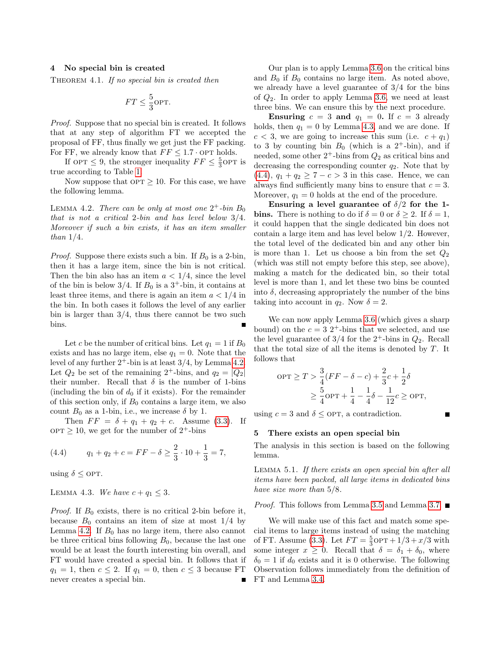## <span id="page-5-0"></span>4 No special bin is created

<span id="page-5-7"></span>THEOREM 4.1. If no special bin is created then

$$
FT \leq \frac{5}{3} \text{OPT}.
$$

Proof. Suppose that no special bin is created. It follows that at any step of algorithm FT we accepted the proposal of FF, thus finally we get just the FF packing. For FF, we already know that  $FF \leq 1.7 \cdot OPT$  holds.

If  $OPT \leq 9$ , the stronger inequality  $FF \leq \frac{5}{3}$ OPT is true according to Table [1.](#page-6-0)

<span id="page-5-2"></span>Now suppose that  $\text{OPT} \geq 10$ . For this case, we have the following lemma.

LEMMA 4.2. There can be only at most one  $2^+$ -bin  $B_0$ that is not a critical 2-bin and has level below 3/4. Moreover if such a bin exists, it has an item smaller than  $1/4$ .

*Proof.* Suppose there exists such a bin. If  $B_0$  is a 2-bin, then it has a large item, since the bin is not critical. Then the bin also has an item  $a < 1/4$ , since the level of the bin is below 3/4. If  $B_0$  is a 3<sup>+</sup>-bin, it contains at least three items, and there is again an item  $a < 1/4$  in the bin. In both cases it follows the level of any earlier bin is larger than 3/4, thus there cannot be two such bins.

Let c be the number of critical bins. Let  $q_1 = 1$  if  $B_0$ exists and has no large item, else  $q_1 = 0$ . Note that the level of any further  $2^+$ -bin is at least  $3/4$ , by Lemma [4.2.](#page-5-2) Let  $Q_2$  be set of the remaining 2<sup>+</sup>-bins, and  $q_2 = |Q_2|$ their number. Recall that  $\delta$  is the number of 1-bins (including the bin of  $d_0$  if it exists). For the remainder of this section only, if  $B_0$  contains a large item, we also count  $B_0$  as a 1-bin, i.e., we increase  $\delta$  by 1.

Then  $FF = \delta + q_1 + q_2 + c$ . Assume [\(3.3\)](#page-4-1). If  $\text{OPT} \geq 10$ , we get for the number of  $2^+$ -bins

<span id="page-5-4"></span>(4.4) 
$$
q_1 + q_2 + c = FF - \delta \ge \frac{2}{3} \cdot 10 + \frac{1}{3} = 7,
$$

<span id="page-5-3"></span>using  $\delta \leq$  OPT.

LEMMA 4.3. We have  $c + q_1 \leq 3$ .

*Proof.* If  $B_0$  exists, there is no critical 2-bin before it, because  $B_0$  contains an item of size at most  $1/4$  by Lemma [4.2.](#page-5-2) If  $B_0$  has no large item, there also cannot be three critical bins following  $B_0$ , because the last one would be at least the fourth interesting bin overall, and FT would have created a special bin. It follows that if  $q_1 = 1$ , then  $c \leq 2$ . If  $q_1 = 0$ , then  $c \leq 3$  because FT never creates a special bin.

Our plan is to apply Lemma [3.6](#page-4-2) on the critical bins and  $B_0$  if  $B_0$  contains no large item. As noted above, we already have a level guarantee of  $3/4$  for the bins of  $Q_2$ . In order to apply Lemma [3.6,](#page-4-2) we need at least three bins. We can ensure this by the next procedure.

Ensuring  $c = 3$  and  $q_1 = 0$ . If  $c = 3$  already holds, then  $q_1 = 0$  by Lemma [4.3,](#page-5-3) and we are done. If  $c < 3$ , we are going to increase this sum (i.e.  $c + q_1$ ) to 3 by counting bin  $B_0$  (which is a 2<sup>+</sup>-bin), and if needed, some other  $2^+$ -bins from  $Q_2$  as critical bins and decreasing the corresponding counter  $q_2$ . Note that by [\(4.4\)](#page-5-4),  $q_1 + q_2 \ge 7 - c > 3$  in this case. Hence, we can always find sufficiently many bins to ensure that  $c = 3$ . Moreover,  $q_1 = 0$  holds at the end of the procedure.

Ensuring a level guarantee of  $\delta/2$  for the 1**bins.** There is nothing to do if  $\delta = 0$  or  $\delta \geq 2$ . If  $\delta = 1$ , it could happen that the single dedicated bin does not contain a large item and has level below 1/2. However, the total level of the dedicated bin and any other bin is more than 1. Let us choose a bin from the set  $Q_2$ (which was still not empty before this step, see above), making a match for the dedicated bin, so their total level is more than 1, and let these two bins be counted into  $\delta$ , decreasing appropriately the number of the bins taking into account in  $q_2$ . Now  $\delta = 2$ .

We can now apply Lemma [3.6](#page-4-2) (which gives a sharp bound) on the  $c = 3$  2<sup>+</sup>-bins that we selected, and use the level guarantee of  $3/4$  for the  $2^+$ -bins in  $Q_2$ . Recall that the total size of all the items is denoted by  $T$ . It follows that

$$
OPT \geq T > \frac{3}{4}(FF - \delta - c) + \frac{2}{3}c + \frac{1}{2}\delta
$$
  
 
$$
\geq \frac{5}{4}\text{OPT} + \frac{1}{4} - \frac{1}{4}\delta - \frac{1}{12}c \geq \text{OPT},
$$

using  $c = 3$  and  $\delta \leq$  OPT, a contradiction.

### <span id="page-5-1"></span>5 There exists an open special bin

<span id="page-5-5"></span>The analysis in this section is based on the following lemma.

Lemma 5.1. If there exists an open special bin after all items have been packed, all large items in dedicated bins have size more than 5/8.

*Proof.* This follows from Lemma [3.5](#page-4-3) and Lemma [3.7.](#page-4-4)  $\blacksquare$ 

<span id="page-5-6"></span>We will make use of this fact and match some special items to large items instead of using the matching of FT. Assume [\(3.3\)](#page-4-1). Let  $FT = \frac{5}{3}$ OPT +  $1/3 + x/3$  with some integer  $x \geq 0$ . Recall that  $\delta = \delta_1 + \delta_0$ , where  $\delta_0 = 1$  if  $d_0$  exists and it is 0 otherwise. The following Observation follows immediately from the definition of FT and Lemma [3.4.](#page-4-0)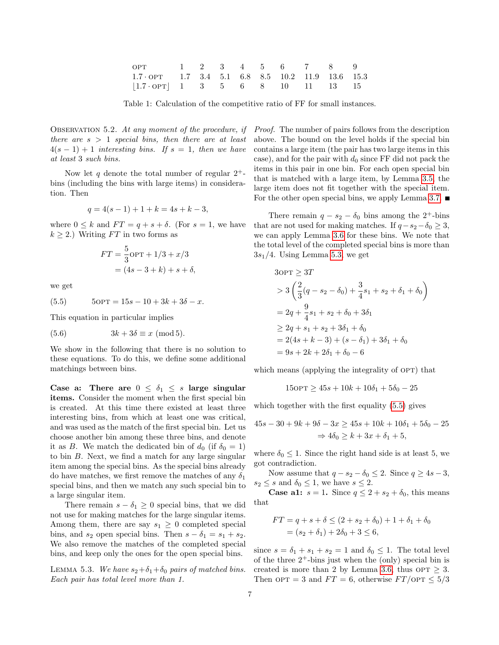| OPT                                                     |  |  | $1 \quad 2 \quad 3 \quad 4 \quad 5 \quad 6 \quad 7 \quad 8 \quad 9$ |  |  |
|---------------------------------------------------------|--|--|---------------------------------------------------------------------|--|--|
| $1.7 \cdot OPT$ 1.7 3.4 5.1 6.8 8.5 10.2 11.9 13.6 15.3 |  |  |                                                                     |  |  |
| $ 1.7 \cdot OPT $ 1 3 5 6 8 10 11 13 15                 |  |  |                                                                     |  |  |

<span id="page-6-0"></span>Table 1: Calculation of the competitive ratio of FF for small instances.

OBSERVATION 5.2. At any moment of the procedure, if there are  $s > 1$  special bins, then there are at least  $4(s-1)+1$  interesting bins. If  $s=1$ , then we have at least 3 such bins.

Now let q denote the total number of regular  $2^+$ bins (including the bins with large items) in consideration. Then

$$
q = 4(s - 1) + 1 + k = 4s + k - 3,
$$

where  $0 \leq k$  and  $FT = q + s + \delta$ . (For  $s = 1$ , we have  $k > 2$ .) Writing FT in two forms as

$$
FT = \frac{5}{3} \text{OPT} + 1/3 + x/3
$$
  
= (4s - 3 + k) + s + \delta,

we get

<span id="page-6-2"></span>(5.5) 
$$
50PT = 15s - 10 + 3k + 3\delta - x.
$$

This equation in particular implies

<span id="page-6-3"></span>
$$
(5.6) \t 3k + 3\delta \equiv x \pmod{5}.
$$

We show in the following that there is no solution to these equations. To do this, we define some additional matchings between bins.

Case a: There are  $0 \leq \delta_1 \leq s$  large singular items. Consider the moment when the first special bin is created. At this time there existed at least three interesting bins, from which at least one was critical, and was used as the match of the first special bin. Let us choose another bin among these three bins, and denote it as B. We match the dedicated bin of  $d_0$  (if  $\delta_0 = 1$ ) to bin  $B$ . Next, we find a match for any large singular item among the special bins. As the special bins already do have matches, we first remove the matches of any  $\delta_1$ special bins, and then we match any such special bin to a large singular item.

There remain  $s - \delta_1 \geq 0$  special bins, that we did not use for making matches for the large singular items. Among them, there are say  $s_1 \geq 0$  completed special bins, and  $s_2$  open special bins. Then  $s - \delta_1 = s_1 + s_2$ . We also remove the matches of the completed special bins, and keep only the ones for the open special bins.

<span id="page-6-1"></span>LEMMA 5.3. We have  $s_2+\delta_1+\delta_0$  pairs of matched bins. Each pair has total level more than 1.

Proof. The number of pairs follows from the description above. The bound on the level holds if the special bin contains a large item (the pair has two large items in this case), and for the pair with  $d_0$  since FF did not pack the items in this pair in one bin. For each open special bin that is matched with a large item, by Lemma [3.5,](#page-4-3) the large item does not fit together with the special item. For the other open special bins, we apply Lemma [3.7.](#page-4-4)  $\blacksquare$ 

There remain  $q - s_2 - \delta_0$  bins among the 2<sup>+</sup>-bins that are not used for making matches. If  $q-s_2-\delta_0 \geq 3$ , we can apply Lemma [3.6](#page-4-2) for these bins. We note that the total level of the completed special bins is more than  $3s_1/4$ . Using Lemma [5.3,](#page-6-1) we get

$$
3 \text{OPT} \ge 3T
$$
  
> 3  $\left(\frac{2}{3}(q - s_2 - \delta_0) + \frac{3}{4}s_1 + s_2 + \delta_1 + \delta_0\right)$   
= 2q +  $\frac{9}{4}s_1 + s_2 + \delta_0 + 3\delta_1$   
 $\ge 2q + s_1 + s_2 + 3\delta_1 + \delta_0$   
= 2(4s + k - 3) + (s - \delta\_1) + 3\delta\_1 + \delta\_0  
= 9s + 2k + 2\delta\_1 + \delta\_0 - 6

which means (applying the integrality of OPT) that

$$
150PT \ge 45s + 10k + 10\delta_1 + 5\delta_0 - 25
$$

which together with the first equality [\(5.5\)](#page-6-2) gives

$$
45s - 30 + 9k + 9\delta - 3x \ge 45s + 10k + 10\delta_1 + 5\delta_0 - 25
$$
  

$$
\Rightarrow 4\delta_0 \ge k + 3x + \delta_1 + 5,
$$

where  $\delta_0 \leq 1$ . Since the right hand side is at least 5, we got contradiction.

Now assume that  $q - s_2 - \delta_0 \leq 2$ . Since  $q \geq 4s - 3$ ,  $s_2 \leq s$  and  $\delta_0 \leq 1$ , we have  $s \leq 2$ .

**Case a1:**  $s = 1$ . Since  $q \leq 2 + s_2 + \delta_0$ , this means that

$$
FT = q + s + \delta \le (2 + s_2 + \delta_0) + 1 + \delta_1 + \delta_0
$$
  
= (s<sub>2</sub> + \delta<sub>1</sub>) + 2\delta<sub>0</sub> + 3 \le 6,

since  $s = \delta_1 + s_1 + s_2 = 1$  and  $\delta_0 \leq 1$ . The total level of the three  $2^+$ -bins just when the (only) special bin is created is more than 2 by Lemma [3.6,](#page-4-2) thus  $\text{OPT} \geq 3$ . Then  $\text{OPT} = 3$  and  $FT = 6$ , otherwise  $FT/\text{OPT} \leq 5/3$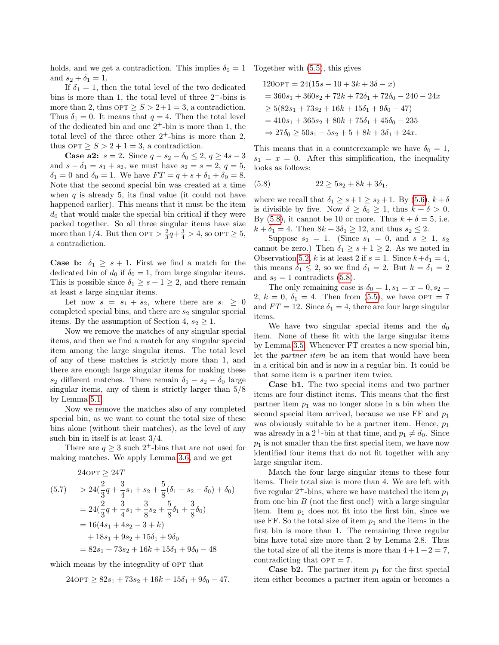holds, and we get a contradiction. This implies  $\delta_0 = 1$  Together with [\(5.5\)](#page-6-2), this gives and  $s_2 + \delta_1 = 1$ .

If  $\delta_1 = 1$ , then the total level of the two dedicated bins is more than 1, the total level of three  $2^+$ -bins is more than 2, thus  $\text{OPT} \geq S > 2+1=3$ , a contradiction. Thus  $\delta_1 = 0$ . It means that  $q = 4$ . Then the total level of the dedicated bin and one  $2^+$ -bin is more than 1, the total level of the three other  $2^+$ -bins is more than 2, thus  $\text{OPT} \geq S > 2 + 1 = 3$ , a contradiction.

Case a2:  $s = 2$ . Since  $q - s_2 - \delta_0 \leq 2$ ,  $q \geq 4s - 3$ and  $s - \delta_1 = s_1 + s_2$ , we must have  $s_2 = s = 2, q = 5$ ,  $\delta_1 = 0$  and  $\delta_0 = 1$ . We have  $FT = q + s + \delta_1 + \delta_0 = 8$ . Note that the second special bin was created at a time when  $q$  is already 5, its final value (it could not have happened earlier). This means that it must be the item  $d_0$  that would make the special bin critical if they were packed together. So all three singular items have size more than  $1/4$ . But then  $\text{OPT} > \frac{2}{3}q + \frac{3}{4} > 4$ , so  $\text{OPT} \geq 5$ , a contradiction.

**Case b:**  $\delta_1 \geq s+1$ . First we find a match for the dedicated bin of  $d_0$  if  $\delta_0 = 1$ , from large singular items. This is possible since  $\delta_1 \geq s+1 \geq 2$ , and there remain at least s large singular items.

Let now  $s = s_1 + s_2$ , where there are  $s_1 \geq 0$ completed special bins, and there are  $s_2$  singular special items. By the assumption of Section 4,  $s_2 \geq 1$ .

Now we remove the matches of any singular special items, and then we find a match for any singular special item among the large singular items. The total level of any of these matches is strictly more than 1, and there are enough large singular items for making these s<sub>2</sub> different matches. There remain  $\delta_1 - s_2 - \delta_0$  large singular items, any of them is strictly larger than 5/8 by Lemma [5.1.](#page-5-5)

Now we remove the matches also of any completed special bin, as we want to count the total size of these bins alone (without their matches), as the level of any such bin in itself is at least 3/4.

There are  $q \geq 3$  such 2<sup>+</sup>-bins that are not used for making matches. We apply Lemma [3.6,](#page-4-2) and we get

$$
240\text{PT} \ge 24T
$$
\n
$$
(5.7) \quad > 24\left(\frac{2}{3}q + \frac{3}{4}s_1 + s_2 + \frac{5}{8}(\delta_1 - s_2 - \delta_0) + \delta_0\right)
$$
\n
$$
= 24\left(\frac{2}{3}q + \frac{3}{4}s_1 + \frac{3}{8}s_2 + \frac{5}{8}\delta_1 + \frac{3}{8}\delta_0\right)
$$
\n
$$
= 16(4s_1 + 4s_2 - 3 + k)
$$
\n
$$
+ 18s_1 + 9s_2 + 15\delta_1 + 9\delta_0
$$
\n
$$
= 82s_1 + 73s_2 + 16k + 15\delta_1 + 9\delta_0 - 48
$$

which means by the integrality of OPT that

24opt ≥ 24T

$$
240\text{PT} \ge 82s_1 + 73s_2 + 16k + 15\delta_1 + 9\delta_0 - 47.
$$

$$
1200\text{PT} = 24(15s - 10 + 3k + 3\delta - x)
$$
  
= 360s<sub>1</sub> + 360s<sub>2</sub> + 72k + 72\delta<sub>1</sub> + 72\delta<sub>0</sub> - 240 - 24x  

$$
\geq 5(82s1 + 73s2 + 16k + 15\delta1 + 9\delta0 - 47)
$$
  
= 410s<sub>1</sub> + 365s<sub>2</sub> + 80k + 75\delta<sub>1</sub> + 45\delta<sub>0</sub> - 235  

$$
\Rightarrow 27\delta0 \geq 50s1 + 5s2 + 5 + 8k + 3\delta1 + 24x.
$$

This means that in a counterexample we have  $\delta_0 = 1$ ,  $s_1 = x = 0$ . After this simplification, the inequality looks as follows:

<span id="page-7-0"></span>(5.8) 
$$
22 \ge 5s_2 + 8k + 3\delta_1,
$$

where we recall that  $\delta_1 \geq s+1 \geq s_2+1$ . By  $(5.6), k+\delta$  $(5.6), k+\delta$ is divisible by five. Now  $\delta \geq \delta_0 \geq 1$ , thus  $k + \delta > 0$ . By [\(5.8\)](#page-7-0), it cannot be 10 or more. Thus  $k + \delta = 5$ , i.e.  $k + \delta_1 = 4$ . Then  $8k + 3\delta_1 \ge 12$ , and thus  $s_2 \le 2$ .

Suppose  $s_2 = 1$ . (Since  $s_1 = 0$ , and  $s \geq 1$ ,  $s_2$ cannot be zero.) Then  $\delta_1 \geq s+1 \geq 2$ . As we noted in Observation [5.2,](#page-5-6) k is at least 2 if  $s = 1$ . Since  $k + \delta_1 = 4$ , this means  $\delta_1 \leq 2$ , so we find  $\delta_1 = 2$ . But  $k = \delta_1 = 2$ and  $s_2 = 1$  contradicts [\(5.8\)](#page-7-0).

The only remaining case is  $\delta_0 = 1, s_1 = x = 0, s_2 =$ 2,  $k = 0, \delta_1 = 4$ . Then from [\(5.5\)](#page-6-2), we have OPT = 7 and  $FT = 12$ . Since  $\delta_1 = 4$ , there are four large singular items.

We have two singular special items and the  $d_0$ item. None of these fit with the large singular items by Lemma [3.5.](#page-4-3) Whenever FT creates a new special bin, let the partner item be an item that would have been in a critical bin and is now in a regular bin. It could be that some item is a partner item twice.

Case b1. The two special items and two partner items are four distinct items. This means that the first partner item  $p_1$  was no longer alone in a bin when the second special item arrived, because we use  $FF$  and  $p_1$ was obviously suitable to be a partner item. Hence,  $p_1$ was already in a 2<sup>+</sup>-bin at that time, and  $p_1 \neq d_0$ . Since  $p_1$  is not smaller than the first special item, we have now identified four items that do not fit together with any large singular item.

Match the four large singular items to these four items. Their total size is more than 4. We are left with five regular  $2^+$ -bins, where we have matched the item  $p_1$ from one bin  $B$  (not the first one!) with a large singular item. Item  $p_1$  does not fit into the first bin, since we use FF. So the total size of item  $p_1$  and the items in the first bin is more than 1. The remaining three regular bins have total size more than 2 by Lemma 2.8. Thus the total size of all the items is more than  $4+1+2=7$ , contradicting that  $OPT = 7$ .

**Case b2.** The partner item  $p_1$  for the first special item either becomes a partner item again or becomes a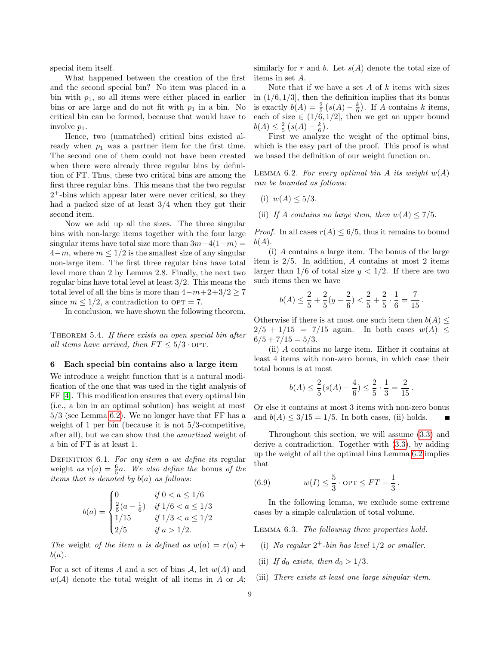special item itself.

What happened between the creation of the first and the second special bin? No item was placed in a bin with  $p_1$ , so all items were either placed in earlier bins or are large and do not fit with  $p_1$  in a bin. No critical bin can be formed, because that would have to involve  $p_1$ .

Hence, two (unmatched) critical bins existed already when  $p_1$  was a partner item for the first time. The second one of them could not have been created when there were already three regular bins by definition of FT. Thus, these two critical bins are among the first three regular bins. This means that the two regular 2 <sup>+</sup>-bins which appear later were never critical, so they had a packed size of at least 3/4 when they got their second item.

Now we add up all the sizes. The three singular bins with non-large items together with the four large singular items have total size more than  $3m+4(1-m) =$  $4-m$ , where  $m \leq 1/2$  is the smallest size of any singular non-large item. The first three regular bins have total level more than 2 by Lemma 2.8. Finally, the next two regular bins have total level at least  $3/2$ . This means the total level of all the bins is more than  $4-m+2+3/2 \ge 7$ since  $m \leq 1/2$ , a contradiction to OPT = 7.

<span id="page-8-7"></span>In conclusion, we have shown the following theorem.

THEOREM 5.4. If there exists an open special bin after all items have arrived, then  $FT \leq 5/3 \cdot OPT$ .

#### <span id="page-8-0"></span>6 Each special bin contains also a large item

We introduce a weight function that is a natural modification of the one that was used in the tight analysis of FF [\[4\]](#page-13-11). This modification ensures that every optimal bin (i.e., a bin in an optimal solution) has weight at most 5/3 (see Lemma [6.2\)](#page-8-1). We no longer have that FF has a weight of 1 per bin (because it is not 5/3-competitive, after all), but we can show that the amortized weight of a bin of FT is at least 1.

DEFINITION 6.1. For any item a we define its regular weight as  $r(a) = \frac{6}{5}a$ . We also define the bonus of the items that is denoted by  $b(a)$  as follows:

$$
b(a) = \begin{cases} 0 & \text{if } 0 < a \le 1/6 \\ \frac{2}{5}(a - \frac{1}{6}) & \text{if } 1/6 < a \le 1/3 \\ 1/15 & \text{if } 1/3 < a \le 1/2 \\ 2/5 & \text{if } a > 1/2. \end{cases}
$$

The weight of the item a is defined as  $w(a) = r(a) +$  $b(a)$ .

For a set of items A and a set of bins A, let  $w(A)$  and  $w(\mathcal{A})$  denote the total weight of all items in A or  $\mathcal{A}$ ;

similarly for r and b. Let  $s(A)$  denote the total size of items in set A.

Note that if we have a set  $A$  of  $k$  items with sizes in  $(1/6, 1/3]$ , then the definition implies that its bonus is exactly  $b(A) = \frac{2}{5} (s(A) - \frac{k}{6})$ . If A contains k items, each of size  $\in (1/6, 1/2]$ , then we get an upper bound  $b(A) \leq \frac{2}{5} (s(A) - \frac{k}{6}).$ 

First we analyze the weight of the optimal bins, which is the easy part of the proof. This proof is what we based the definition of our weight function on.

<span id="page-8-1"></span>LEMMA 6.2. For every optimal bin A its weight  $w(A)$ can be bounded as follows:

- (i)  $w(A) \leq 5/3$ .
- (ii) If A contains no large item, then  $w(A) \leq 7/5$ .

*Proof.* In all cases  $r(A) \leq 6/5$ , thus it remains to bound  $b(A).$ 

(i) A contains a large item. The bonus of the large item is 2/5. In addition, A contains at most 2 items larger than  $1/6$  of total size  $y < 1/2$ . If there are two such items then we have

$$
b(A) \leq \frac{2}{5} + \frac{2}{5}(y - \frac{2}{6}) < \frac{2}{5} + \frac{2}{5} \cdot \frac{1}{6} = \frac{7}{15}
$$

.

Otherwise if there is at most one such item then  $b(A)$  $2/5 + 1/15 = 7/15$  again. In both cases  $w(A) \leq$  $6/5 + 7/15 = 5/3.$ 

(ii) A contains no large item. Either it contains at least 4 items with non-zero bonus, in which case their total bonus is at most

$$
b(A) \le \frac{2}{5}(s(A) - \frac{4}{6}) \le \frac{2}{5} \cdot \frac{1}{3} = \frac{2}{15}.
$$

Or else it contains at most 3 items with non-zero bonus and  $b(A) \leq 3/15 = 1/5$ . In both cases, (ii) holds.

Throughout this section, we will assume [\(3.3\)](#page-4-1) and derive a contradiction. Together with [\(3.3\)](#page-4-1), by adding up the weight of all the optimal bins Lemma [6.2](#page-8-1) implies that

<span id="page-8-6"></span>(6.9) 
$$
w(I) \le \frac{5}{3} \cdot \text{OPT} \le FT - \frac{1}{3}.
$$

In the following lemma, we exclude some extreme cases by a simple calculation of total volume.

<span id="page-8-5"></span>Lemma 6.3. The following three properties hold.

- <span id="page-8-2"></span>(i) No regular  $2^+$ -bin has level  $1/2$  or smaller.
- <span id="page-8-3"></span>(ii) If  $d_0$  exists, then  $d_0 > 1/3$ .
- <span id="page-8-4"></span>(iii) There exists at least one large singular item.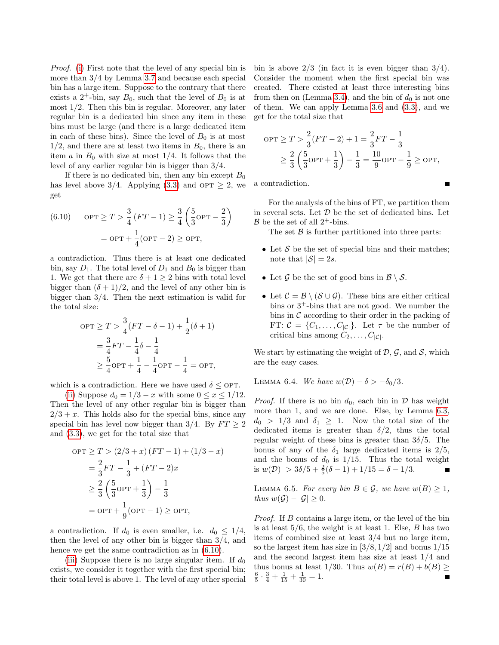Proof. [\(i\)](#page-8-2) First note that the level of any special bin is more than 3/4 by Lemma [3.7](#page-4-4) and because each special bin has a large item. Suppose to the contrary that there exists a  $2^+$ -bin, say  $B_0$ , such that the level of  $B_0$  is at most  $1/2$ . Then this bin is regular. Moreover, any later regular bin is a dedicated bin since any item in these bins must be large (and there is a large dedicated item in each of these bins). Since the level of  $B_0$  is at most  $1/2$ , and there are at least two items in  $B_0$ , there is an item a in  $B_0$  with size at most 1/4. It follows that the level of any earlier regular bin is bigger than 3/4.

If there is no dedicated bin, then any bin except  $B_0$ has level above 3/4. Applying [\(3.3\)](#page-4-1) and OPT  $\geq$  2, we get

<span id="page-9-0"></span>(6.10) 
$$
\text{OPT} \geq T > \frac{3}{4} (FT - 1) \geq \frac{3}{4} \left( \frac{5}{3} \text{OPT} - \frac{2}{3} \right)
$$
  
=  $\text{OPT} + \frac{1}{4} (\text{OPT} - 2) \geq \text{OPT},$ 

a contradiction. Thus there is at least one dedicated bin, say  $D_1$ . The total level of  $D_1$  and  $B_0$  is bigger than 1. We get that there are  $\delta + 1 \geq 2$  bins with total level bigger than  $(\delta + 1)/2$ , and the level of any other bin is bigger than 3/4. Then the next estimation is valid for the total size:

$$
OPT \geq T > \frac{3}{4}(FT - \delta - 1) + \frac{1}{2}(\delta + 1)
$$
  
=  $\frac{3}{4}FT - \frac{1}{4}\delta - \frac{1}{4}$   
 $\geq \frac{5}{4}OPT + \frac{1}{4} - \frac{1}{4}OPT - \frac{1}{4} = OPT$ ,

which is a contradiction. Here we have used  $\delta \leq$  OPT.

[\(ii\)](#page-8-3) Suppose  $d_0 = 1/3 - x$  with some  $0 \le x \le 1/12$ . Then the level of any other regular bin is bigger than  $2/3 + x$ . This holds also for the special bins, since any special bin has level now bigger than 3/4. By  $FT \geq 2$ and [\(3.3\)](#page-4-1), we get for the total size that

$$
OPT \geq T > (2/3 + x) (FT - 1) + (1/3 - x)
$$
  
=  $\frac{2}{3}FT - \frac{1}{3} + (FT - 2)x$   
 $\geq \frac{2}{3} (\frac{5}{3}OPT + \frac{1}{3}) - \frac{1}{3}$   
=  $OPT + \frac{1}{9} (OPT - 1) \geq OPT$ ,

a contradiction. If  $d_0$  is even smaller, i.e.  $d_0 \leq 1/4$ , then the level of any other bin is bigger than 3/4, and hence we get the same contradiction as in [\(6.10\)](#page-9-0).

[\(iii\)](#page-8-4) Suppose there is no large singular item. If  $d_0$ exists, we consider it together with the first special bin; their total level is above 1. The level of any other special bin is above  $2/3$  (in fact it is even bigger than  $3/4$ ). Consider the moment when the first special bin was created. There existed at least three interesting bins from then on (Lemma [3.4\)](#page-4-0), and the bin of  $d_0$  is not one of them. We can apply Lemma [3.6](#page-4-2) and [\(3.3\)](#page-4-1), and we get for the total size that

$$
OPT \ge T > \frac{2}{3}(FT - 2) + 1 = \frac{2}{3}FT - \frac{1}{3}
$$
  
 
$$
\ge \frac{2}{3} \left(\frac{5}{3}OPT + \frac{1}{3}\right) - \frac{1}{3} = \frac{10}{9}OPT - \frac{1}{9} \ge OPT,
$$

a contradiction.

For the analysis of the bins of FT, we partition them in several sets. Let  $D$  be the set of dedicated bins. Let  $\mathcal{B}$  be the set of all 2<sup>+</sup>-bins.

The set  $\beta$  is further partitioned into three parts:

- Let  $S$  be the set of special bins and their matches; note that  $|S| = 2s$ .
- Let  $\mathcal G$  be the set of good bins in  $\mathcal B \setminus \mathcal S$ .
- Let  $\mathcal{C} = \mathcal{B} \setminus (\mathcal{S} \cup \mathcal{G})$ . These bins are either critical bins or  $3^+$ -bins that are not good. We number the bins in  $\mathcal C$  according to their order in the packing of FT:  $C = \{C_1, \ldots, C_{|C|}\}.$  Let  $\tau$  be the number of critical bins among  $C_2, \ldots, C_{|\mathcal{C}|}$ .

We start by estimating the weight of  $\mathcal{D}, \mathcal{G}$ , and  $\mathcal{S}$ , which are the easy cases.

<span id="page-9-1"></span>LEMMA 6.4. We have  $w(\mathcal{D}) - \delta > -\delta_0/3$ .

*Proof.* If there is no bin  $d_0$ , each bin in  $\mathcal{D}$  has weight more than 1, and we are done. Else, by Lemma [6.3,](#page-8-5)  $d_0 > 1/3$  and  $\delta_1 \geq 1$ . Now the total size of the dedicated items is greater than  $\delta/2$ , thus the total regular weight of these bins is greater than  $3\delta/5$ . The bonus of any of the  $\delta_1$  large dedicated items is  $2/5$ , and the bonus of  $d_0$  is  $1/15$ . Thus the total weight is  $w(\mathcal{D}) > 3\delta/5 + \frac{2}{5}(\delta - 1) + 1/15 = \delta - 1/3.$ 

<span id="page-9-2"></span>LEMMA 6.5. For every bin  $B \in \mathcal{G}$ , we have  $w(B) \geq 1$ , thus  $w(\mathcal{G}) - |\mathcal{G}| \geq 0$ .

<span id="page-9-3"></span>Proof. If B contains a large item, or the level of the bin is at least  $5/6$ , the weight is at least 1. Else,  $B$  has two items of combined size at least 3/4 but no large item, so the largest item has size in  $[3/8, 1/2]$  and bonus  $1/15$ and the second largest item has size at least 1/4 and thus bonus at least 1/30. Thus  $w(B) = r(B) + b(B) \geq$  $\frac{6}{5} \cdot \frac{3}{4} + \frac{1}{15} + \frac{1}{30} = 1.$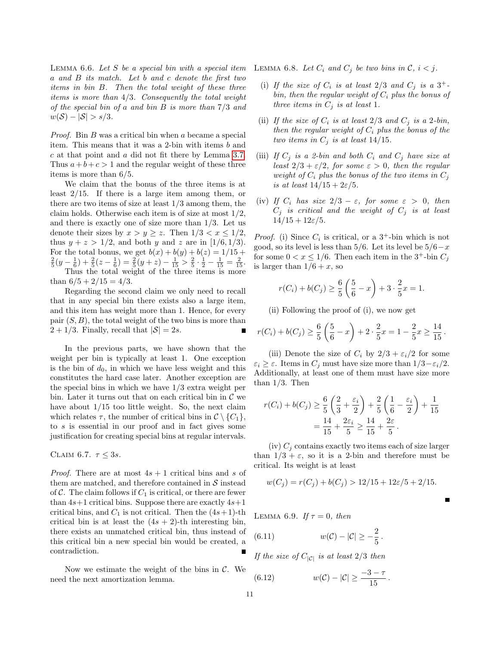LEMMA  $6.6.$  Let S be a special bin with a special item a and B its match. Let b and c denote the first two items in bin B. Then the total weight of these three items is more than 4/3. Consequently the total weight of the special bin of a and bin B is more than 7/3 and  $w(S) - |S| > s/3.$ 

Proof. Bin B was a critical bin when a became a special item. This means that it was a 2-bin with items b and c at that point and a did not fit there by Lemma [3.7.](#page-4-4) Thus  $a+b+c>1$  and the regular weight of these three items is more than 6/5.

We claim that the bonus of the three items is at least 2/15. If there is a large item among them, or there are two items of size at least  $1/3$  among them, the claim holds. Otherwise each item is of size at most  $1/2$ , and there is exactly one of size more than 1/3. Let us denote their sizes by  $x > y \geq z$ . Then  $1/3 < x \leq 1/2$ , thus  $y + z > 1/2$ , and both y and z are in [1/6, 1/3]. For the total bonus, we get  $b(x) + b(y) + b(z) = 1/15 +$  $\frac{2}{5}(y-\frac{1}{6})+\frac{2}{5}(z-\frac{1}{6})=\frac{2}{5}(y+z)-\frac{1}{15}>\frac{2}{5}\cdot\frac{1}{2}-\frac{1}{15}=\frac{2}{15}.$ Thus the total weight of the three items is more than  $6/5 + 2/15 = 4/3$ .

Regarding the second claim we only need to recall that in any special bin there exists also a large item, and this item has weight more than 1. Hence, for every pair  $(S, B)$ , the total weight of the two bins is more than  $2 + 1/3$ . Finally, recall that  $|\mathcal{S}| = 2s$ .

In the previous parts, we have shown that the weight per bin is typically at least 1. One exception is the bin of  $d_0$ , in which we have less weight and this constitutes the hard case later. Another exception are the special bins in which we have 1/3 extra weight per bin. Later it turns out that on each critical bin in  $\mathcal C$  we have about 1/15 too little weight. So, the next claim which relates  $\tau$ , the number of critical bins in  $\mathcal{C} \setminus \{C_1\},\$ to s is essential in our proof and in fact gives some justification for creating special bins at regular intervals.

<span id="page-10-4"></span>CLAIM 6.7.  $\tau \leq 3s$ .

*Proof.* There are at most  $4s + 1$  critical bins and s of them are matched, and therefore contained in  $S$  instead of  $\mathcal C$ . The claim follows if  $C_1$  is critical, or there are fewer than  $4s+1$  critical bins. Suppose there are exactly  $4s+1$ critical bins, and  $C_1$  is not critical. Then the  $(4s+1)$ -th critical bin is at least the  $(4s + 2)$ -th interesting bin, there exists an unmatched critical bin, thus instead of this critical bin a new special bin would be created, a contradiction.

<span id="page-10-1"></span>Now we estimate the weight of the bins in  $\mathcal{C}$ . We need the next amortization lemma.

LEMMA 6.8. Let  $C_i$  and  $C_j$  be two bins in  $\mathcal{C}, i < j$ .

- (i) If the size of  $C_i$  is at least 2/3 and  $C_j$  is a 3<sup>+</sup>bin, then the regular weight of  $C_i$  plus the bonus of three items in  $C_i$  is at least 1.
- (ii) If the size of  $C_i$  is at least  $2/3$  and  $C_j$  is a 2-bin, then the regular weight of  $C_i$  plus the bonus of the two items in  $C_i$  is at least 14/15.
- (iii) If  $C_i$  is a 2-bin and both  $C_i$  and  $C_j$  have size at least  $2/3 + \varepsilon/2$ , for some  $\varepsilon > 0$ , then the regular weight of  $C_i$  plus the bonus of the two items in  $C_j$ is at least  $14/15 + 2\varepsilon/5$ .
- (iv) If  $C_i$  has size  $2/3 \varepsilon$ , for some  $\varepsilon > 0$ , then  $C_j$  is critical and the weight of  $C_j$  is at least  $14/15 + 12\varepsilon/5$ .

*Proof.* (i) Since  $C_i$  is critical, or a 3<sup>+</sup>-bin which is not good, so its level is less than  $5/6$ . Let its level be  $5/6-x$ for some  $0 < x \leq 1/6$ . Then each item in the 3<sup>+</sup>-bin  $C_i$ is larger than  $1/6 + x$ , so

$$
r(C_i) + b(C_j) \ge \frac{6}{5} \left( \frac{5}{6} - x \right) + 3 \cdot \frac{2}{5} x = 1.
$$

(ii) Following the proof of (i), we now get

$$
r(C_i) + b(C_j) \ge \frac{6}{5} \left( \frac{5}{6} - x \right) + 2 \cdot \frac{2}{5} x = 1 - \frac{2}{5} x \ge \frac{14}{15}.
$$

(iii) Denote the size of  $C_i$  by  $2/3 + \varepsilon_i/2$  for some  $\varepsilon_i \geq \varepsilon$ . Items in  $C_j$  must have size more than  $1/3 - \varepsilon_i/2$ . Additionally, at least one of them must have size more than 1/3. Then

$$
r(C_i) + b(C_j) \ge \frac{6}{5} \left( \frac{2}{3} + \frac{\varepsilon_i}{2} \right) + \frac{2}{5} \left( \frac{1}{6} - \frac{\varepsilon_i}{2} \right) + \frac{1}{15}
$$
  
=  $\frac{14}{15} + \frac{2\varepsilon_i}{5} \ge \frac{14}{15} + \frac{2\varepsilon}{5}$ .

(iv)  $C_i$  contains exactly two items each of size larger than  $1/3 + \varepsilon$ , so it is a 2-bin and therefore must be critical. Its weight is at least

$$
w(C_j) = r(C_j) + b(C_j) > 12/15 + 12\varepsilon/5 + 2/15.
$$

<span id="page-10-3"></span>LEMMA 6.9. If  $\tau = 0$ , then

<span id="page-10-0"></span>(6.11) 
$$
w(C) - |C| \geq -\frac{2}{5}.
$$

If the size of  $C_{|C|}$  is at least  $2/3$  then

<span id="page-10-2"></span>(6.12) 
$$
w(C) - |C| \ge \frac{-3 - \tau}{15}.
$$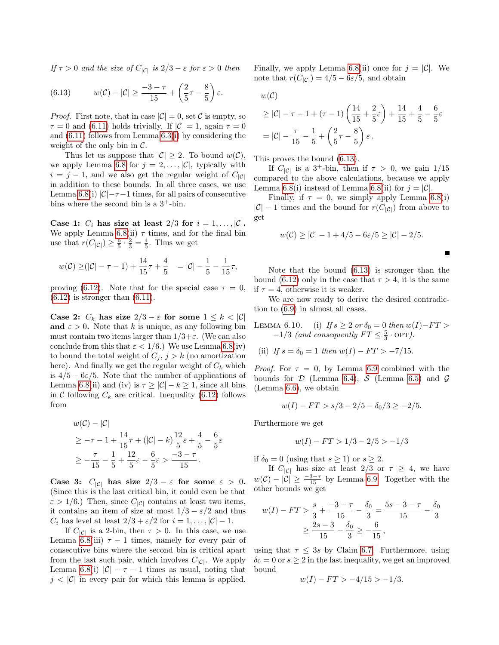If  $\tau > 0$  and the size of  $C_{|\mathcal{C}|}$  is  $2/3 - \varepsilon$  for  $\varepsilon > 0$  then

<span id="page-11-0"></span>(6.13) 
$$
w(C) - |C| \ge \frac{-3 - \tau}{15} + \left(\frac{2}{5}\tau - \frac{8}{5}\right)\varepsilon.
$$

*Proof.* First note, that in case  $|\mathcal{C}| = 0$ , set C is empty, so  $\tau = 0$  and [\(6.11\)](#page-10-0) holds trivially. If  $|\mathcal{C}| = 1$ , again  $\tau = 0$ and [\(6.11\)](#page-10-0) follows from Lemma [6.3](#page-8-5)[\(i\)](#page-8-2) by considering the weight of the only bin in  $\mathcal{C}$ .

Thus let us suppose that  $|\mathcal{C}| \geq 2$ . To bound  $w(\mathcal{C})$ , we apply Lemma [6.8](#page-10-1) for  $j = 2, \ldots, |\mathcal{C}|$ , typically with  $i = j - 1$ , and we also get the regular weight of  $C_{|C|}$ in addition to these bounds. In all three cases, we use Lemma [6.8\(](#page-10-1)i)  $|\mathcal{C}|$ - $\tau$ -1 times, for all pairs of consecutive bins where the second bin is a  $3^+$ -bin.

Case 1:  $C_i$  has size at least  $2/3$  for  $i = 1, \ldots, |\mathcal{C}|$ . We apply Lemma [6.8\(](#page-10-1)ii)  $\tau$  times, and for the final bin use that  $r(C_{|\mathcal{C}|}) \geq \frac{6}{5} \cdot \frac{2}{3} = \frac{4}{5}$ . Thus we get

$$
w(\mathcal{C}) \geq (|\mathcal{C}| - \tau - 1) + \frac{14}{15}\tau + \frac{4}{5} = |\mathcal{C}| - \frac{1}{5} - \frac{1}{15}\tau,
$$

proving [\(6.12\)](#page-10-2). Note that for the special case  $\tau = 0$ ,  $(6.12)$  is stronger than  $(6.11)$ .

Case 2:  $C_k$  has size  $2/3 - \varepsilon$  for some  $1 \leq k < |\mathcal{C}|$ and  $\varepsilon > 0$ . Note that k is unique, as any following bin must contain two items larger than  $1/3+\varepsilon$ . (We can also conclude from this that  $\varepsilon < 1/6$ .) We use Lemma [6.8\(](#page-10-1)iv) to bound the total weight of  $C_j$ ,  $j > k$  (no amortization here). And finally we get the regular weight of  $C_k$  which is  $4/5 - 6\varepsilon/5$ . Note that the number of applications of Lemma [6.8\(](#page-10-1)ii) and (iv) is  $\tau \geq |\mathcal{C}| - k \geq 1$ , since all bins in C following  $C_k$  are critical. Inequality [\(6.12\)](#page-10-2) follows from

$$
w(C) - |C|
$$
  
\n
$$
\geq -\tau - 1 + \frac{14}{15}\tau + (|C| - k)\frac{12}{5}\varepsilon + \frac{4}{5} - \frac{6}{5}\varepsilon
$$
  
\n
$$
\geq -\frac{\tau}{15} - \frac{1}{5} + \frac{12}{5}\varepsilon - \frac{6}{5}\varepsilon > \frac{-3 - \tau}{15}.
$$

Case 3:  $C_{|\mathcal{C}|}$  has size  $2/3 - \varepsilon$  for some  $\varepsilon > 0$ . (Since this is the last critical bin, it could even be that  $\varepsilon > 1/6$ .) Then, since  $C_{|\mathcal{C}|}$  contains at least two items, it contains an item of size at most  $1/3 - \varepsilon/2$  and thus  $C_i$  has level at least  $2/3 + \varepsilon/2$  for  $i = 1, ..., |\mathcal{C}| - 1$ .

If  $C_{|\mathcal{C}|}$  is a 2-bin, then  $\tau > 0$ . In this case, we use Lemma [6.8\(](#page-10-1)iii)  $\tau - 1$  times, namely for every pair of consecutive bins where the second bin is critical apart from the last such pair, which involves  $C_{|\mathcal{C}|}$ . We apply Lemma [6.8\(](#page-10-1)i)  $|\mathcal{C}| - \tau - 1$  times as usual, noting that  $j < |\mathcal{C}|$  in every pair for which this lemma is applied.

Finally, we apply Lemma [6.8\(](#page-10-1)ii) once for  $j = |\mathcal{C}|$ . We note that  $r(C_{|C|}) = 4/5 - 6\varepsilon/5$ , and obtain

$$
w(\mathcal{C})
$$

$$
\geq |\mathcal{C}| - \tau - 1 + (\tau - 1) \left( \frac{14}{15} + \frac{2}{5} \varepsilon \right) + \frac{14}{15} + \frac{4}{5} - \frac{6}{5} \varepsilon
$$
  
=  $|\mathcal{C}| - \frac{\tau}{15} - \frac{1}{5} + \left( \frac{2}{5} \tau - \frac{8}{5} \right) \varepsilon$ .

This proves the bound [\(6.13\)](#page-11-0).

If  $C_{|C|}$  is a 3<sup>+</sup>-bin, then if  $\tau > 0$ , we gain 1/15 compared to the above calculations, because we apply Lemma [6.8\(](#page-10-1)i) instead of Lemma 6.8(ii) for  $j = |\mathcal{C}|$ .

Finally, if  $\tau = 0$ , we simply apply Lemma [6.8\(](#page-10-1)i)  $|C| - 1$  times and the bound for  $r(C_{|C|})$  from above to get

$$
w(C) \ge |C|-1+4/5-6\varepsilon/5 \ge |C|-2/5.
$$

<span id="page-11-1"></span>Г

Note that the bound [\(6.13\)](#page-11-0) is stronger than the bound [\(6.12\)](#page-10-2) only in the case that  $\tau > 4$ , it is the same if  $\tau = 4$ , otherwise it is weaker.

We are now ready to derive the desired contradiction to [\(6.9\)](#page-8-6) in almost all cases.

LEMMA 6.10. (i) If  $s \geq 2$  or  $\delta_0 = 0$  then  $w(I) - FT >$  $-1/3$  (and consequently  $FT \leq \frac{5}{3} \cdot \text{OPT}$ ).

(ii) If 
$$
s = \delta_0 = 1
$$
 then  $w(I) - FT > -7/15$ .

*Proof.* For  $\tau = 0$ , by Lemma [6.9](#page-10-3) combined with the bounds for  $\mathcal D$  (Lemma [6.4\)](#page-9-1),  $\mathcal S$  (Lemma [6.5\)](#page-9-2) and  $\mathcal G$ (Lemma [6.6\)](#page-9-3), we obtain

$$
w(I) - FT > s/3 - 2/5 - \delta_0/3 \ge -2/5.
$$

Furthermore we get

$$
w(I) - FT > 1/3 - 2/5 > -1/3
$$

if  $\delta_0 = 0$  (using that  $s \ge 1$ ) or  $s \ge 2$ .

If  $C_{|\mathcal{C}|}$  has size at least  $2/3$  or  $\tau \geq 4$ , we have  $w(\mathcal{C}) - |\mathcal{C}| \geq \frac{-3-\tau}{15}$  by Lemma [6.9.](#page-10-3) Together with the other bounds we get

$$
w(I) - FT > \frac{s}{3} + \frac{-3 - \tau}{15} - \frac{\delta_0}{3} = \frac{5s - 3 - \tau}{15} - \frac{\delta_0}{3}
$$

$$
\geq \frac{2s - 3}{15} - \frac{\delta_0}{3} \geq -\frac{6}{15},
$$

using that  $\tau \leq 3s$  by Claim [6.7.](#page-10-4) Furthermore, using  $\delta_0 = 0$  or  $s \geq 2$  in the last inequality, we get an improved bound

$$
w(I) - FT > -4/15 > -1/3.
$$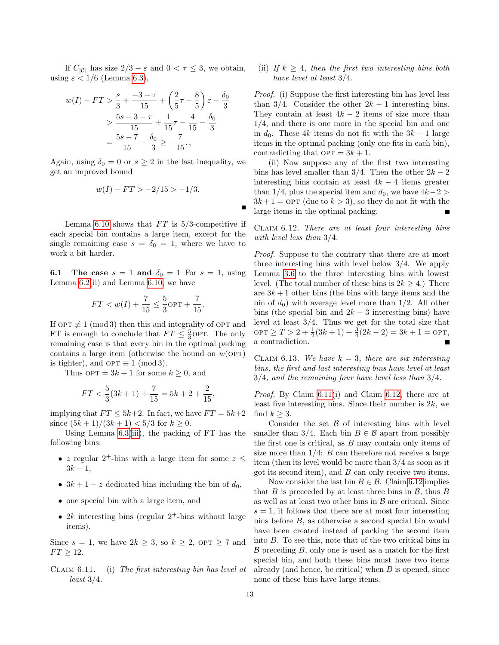If  $C_{|\mathcal{C}|}$  has size  $2/3 - \varepsilon$  and  $0 < \tau \leq 3$ , we obtain, using  $\varepsilon < 1/6$  (Lemma [6.3\)](#page-8-5),

$$
w(I) - FT > \frac{s}{3} + \frac{-3 - \tau}{15} + \left(\frac{2}{5}\tau - \frac{8}{5}\right)\varepsilon - \frac{\delta_0}{3}
$$
  
> 
$$
\frac{5s - 3 - \tau}{15} + \frac{1}{15}\tau - \frac{4}{15} - \frac{\delta_0}{3}
$$
  
= 
$$
\frac{5s - 7}{15} - \frac{\delta_0}{3} \ge -\frac{7}{15},
$$

Again, using  $\delta_0 = 0$  or  $s \geq 2$  in the last inequality, we get an improved bound

$$
w(I) - FT > -2/15 > -1/3.
$$

Lemma [6.10](#page-11-1) shows that  $FT$  is 5/3-competitive if each special bin contains a large item, except for the single remaining case  $s = \delta_0 = 1$ , where we have to work a bit harder.

**6.1** The case  $s = 1$  and  $\delta_0 = 1$  For  $s = 1$ , using Lemma  $6.2$ (ii) and Lemma  $6.10$ , we have

$$
FT < w(I) + \frac{7}{15} \le \frac{5}{3} \text{OPT} + \frac{7}{15}.
$$

If  $OPT \not\equiv 1 \pmod{3}$  then this and integrality of OPT and FT is enough to conclude that  $FT \leq \frac{5}{3}$ OPT. The only remaining case is that every bin in the optimal packing contains a large item (otherwise the bound on  $w(OPT)$ ) is tighter), and  $OPT \equiv 1 \pmod{3}$ .

Thus  $\text{OPT} = 3k + 1$  for some  $k \geq 0$ , and

$$
FT < \frac{5}{3}(3k+1) + \frac{7}{15} = 5k + 2 + \frac{2}{15},
$$

implying that  $FT \leq 5k+2$ . In fact, we have  $FT = 5k+2$ since  $(5k+1)/(3k+1) < 5/3$  for  $k > 0$ .

Using Lemma [6.3](#page-8-5)[\(iii\)](#page-8-4), the packing of FT has the following bins:

- z regular  $2^+$ -bins with a large item for some  $z \leq$  $3k - 1$ ,
- $3k+1-z$  dedicated bins including the bin of  $d_0$ ,
- one special bin with a large item, and
- 2k interesting bins (regular  $2^+$ -bins without large items).

Since  $s = 1$ , we have  $2k \geq 3$ , so  $k \geq 2$ , OPT  $\geq 7$  and  $FT > 12.$ 

<span id="page-12-0"></span>Claim 6.11. (i) The first interesting bin has level at least 3/4.

(ii) If  $k > 4$ , then the first two interesting bins both have level at least 3/4.

Proof. (i) Suppose the first interesting bin has level less than 3/4. Consider the other  $2k-1$  interesting bins. They contain at least  $4k - 2$  items of size more than 1/4, and there is one more in the special bin and one in  $d_0$ . These 4k items do not fit with the  $3k + 1$  large items in the optimal packing (only one fits in each bin), contradicting that  $\text{OPT} = 3k + 1$ .

(ii) Now suppose any of the first two interesting bins has level smaller than  $3/4$ . Then the other  $2k-2$ interesting bins contain at least  $4k - 4$  items greater than 1/4, plus the special item and  $d_0$ , we have  $4k-2$  $3k+1 =$  OPT (due to  $k > 3$ ), so they do not fit with the large items in the optimal packing.

<span id="page-12-1"></span>Claim 6.12. There are at least four interesting bins with level less than 3/4.

Proof. Suppose to the contrary that there are at most three interesting bins with level below 3/4. We apply Lemma [3.6](#page-4-2) to the three interesting bins with lowest level. (The total number of these bins is  $2k > 4$ .) There are  $3k + 1$  other bins (the bins with large items and the bin of  $d_0$ ) with average level more than 1/2. All other bins (the special bin and  $2k-3$  interesting bins) have level at least  $3/4$ . Thus we get for the total size that OPT ≥  $T > 2 + \frac{1}{2}(3k + 1) + \frac{3}{4}(2k - 2) = 3k + 1 =$  OPT, a contradiction.  $\blacksquare$ 

CLAIM 6.13. We have  $k = 3$ , there are six interesting bins, the first and last interesting bins have level at least 3/4, and the remaining four have level less than 3/4.

Proof. By Claim [6.11\(](#page-12-0)i) and Claim [6.12,](#page-12-1) there are at least five interesting bins. Since their number is  $2k$ , we find  $k \geq 3$ .

Consider the set  $\beta$  of interesting bins with level smaller than 3/4. Each bin  $B \in \mathcal{B}$  apart from possibly the first one is critical, as  $B$  may contain only items of size more than  $1/4$ :  $B$  can therefore not receive a large item (then its level would be more than 3/4 as soon as it got its second item), and  $B$  can only receive two items.

Now consider the last bin  $B \in \mathcal{B}$ . Claim [6.12](#page-12-1) implies that  $B$  is preceeded by at least three bins in  $\mathcal{B}$ , thus  $B$ as well as at least two other bins in  $\beta$  are critical. Since  $s = 1$ , it follows that there are at most four interesting bins before B, as otherwise a second special bin would have been created instead of packing the second item into B. To see this, note that of the two critical bins in  $\beta$  preceding  $B$ , only one is used as a match for the first special bin, and both these bins must have two items already (and hence, be critical) when  $B$  is opened, since none of these bins have large items.